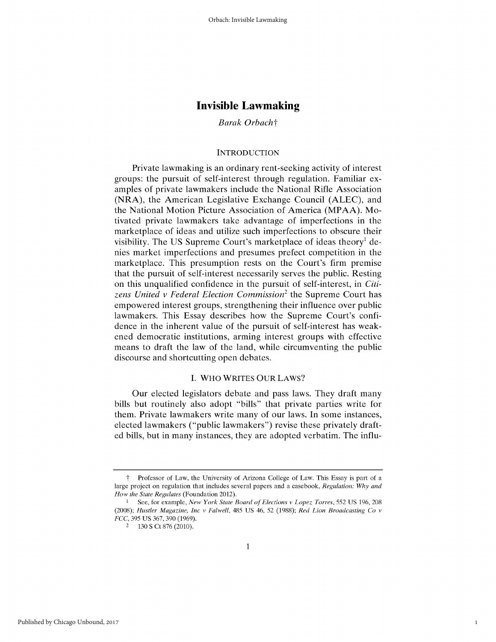## *Barak Orbacht*

## **INTRODUCTION**

Private lawmaking is an ordinary rent-seeking activity of interest groups: the pursuit of self-interest through regulation. Familiar examples of private lawmakers include the National Rifle Association (NRA), the American Legislative Exchange Council (ALEC), and the National Motion Picture Association of America (MPAA). Motivated private lawmakers take advantage of imperfections in the marketplace of ideas and utilize such imperfections to obscure their visibility. The US Supreme Court's marketplace of ideas theory' denies market imperfections and presumes prefect competition in the marketplace. This presumption rests on the Court's firm premise that the pursuit of self-interest necessarily serves the public. Resting on this unqualified confidence in the pursuit of self-interest, in *Citizens United v Federal Election Commission2* the Supreme Court has empowered interest groups, strengthening their influence over public lawmakers. This Essay describes how the Supreme Court's confidence in the inherent value of the pursuit of self-interest has weakened democratic institutions, arming interest groups with effective means to draft the law of the land, while circumventing the public discourse and shortcutting open debates.

## I. WHO WRITES OUR LAWS?

Our elected legislators debate and pass laws. They draft many bills but routinely also adopt "bills" that private parties write for them. Private lawmakers write many of our laws. In some instances, elected lawmakers ("public lawmakers") revise these privately drafted bills, but in many instances, they are adopted verbatim. The influ-

1

t Professor of Law, the University of Arizona College of Law. This Essay is part of a large project on regulation that includes several papers and a casebook, *Regulation: Why and How the State Regulates* (Foundation 2012).

**<sup>1</sup>** See, for example, *New York State Board of Elections v Lopez Torres,* 552 US 196, 208 (2008); *Hustler Magazine, Inc v Falwell,* 485 US 46, 52 (1988); *Red Lion Broadcasting Co v FCC,* 395 US 367,390 (1969).

<sup>2</sup> 130 **S** Ct 876 (2010).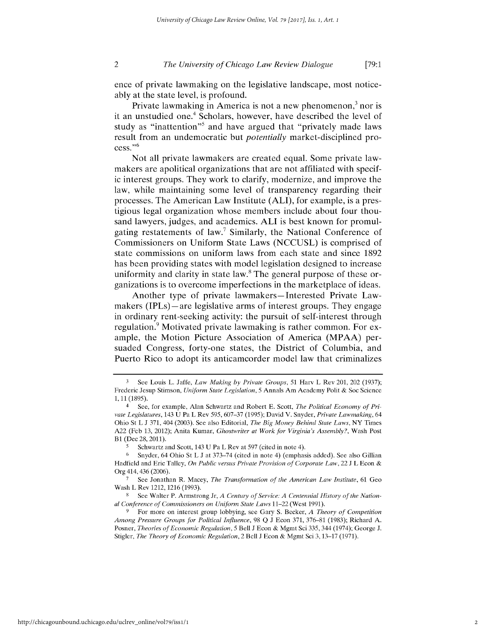ence of private lawmaking on the legislative landscape, most noticeably at the state level, is profound.

Private lawmaking in America is not a new phenomenon, $3$  nor is it an unstudied one.<sup>4</sup> Scholars, however, have described the level of study as "inattention"<sup>5</sup> and have argued that "privately made laws result from an undemocratic but *potentially* market-disciplined pro $cess."6$ 

Not all private lawmakers are created equal. Some private lawmakers are apolitical organizations that are not affiliated with specific interest groups. They work to clarify, modernize, and improve the law, while maintaining some level of transparency regarding their processes. The American Law Institute **(ALI),** for example, is a prestigious legal organization whose members include about four thousand lawyers, judges, and academics. **ALI** is best known for promulgating restatements of law.<sup>7</sup> Similarly, the National Conference of Commissioners on Uniform State Laws **(NCCUSL)** is comprised of state commissions on uniform laws from each state and since **1892** has been providing states with model legislation designed to increase uniformity and clarity in state law. $8$  The general purpose of these organizations is to overcome imperfections in the marketplace of ideas.

Another type of private lawmakers-Interested Private Lawmakers (IPLs)—are legislative arms of interest groups. They engage in ordinary rent-seeking activity: the pursuit of self-interest through regulation.<sup>9</sup> Motivated private lawmaking is rather common. For example, the Motion Picture Association of America (MPAA) persuaded Congress, forty-one states, the District of Columbia, and Puerto Rico to adopt its anticamcorder model law that criminalizes

**<sup>3</sup>** See Louis L. Jaffe, *Law Making by Private Groups,* **51** Harv L Rev 201, 202 **(1937);** Frederic Jesup Stimson, *Uniform State Legislation, 5* Annals Am Academy **Polit & Soc** Science **1,11 (1895).**

<sup>4</sup> See, for example, Alan Schwartz and Robert **E.** Scott, *The Political Economy of Private Legislatures,* 143 **U** Pa L Rev **595, 607-37 (1995);** David V. Snyder, *Private Lawmaking, 64* Ohio St L **J 371,** 404 **(2003).** See also Editorial, *The Big Money Behind State Laws,* NY Times **A22** (Feb **13,** 2012); Anita Kumar, *Ghostwriter at Work for Virginia's Assembly?,* Wash Post **B1** (Dec 28, **2011).**

**<sup>5</sup>** Schwartz and Scott, 143 **U** Pa L Rev at **597** (cited in note 4).

**<sup>6</sup>**Snyder, 64 Ohio St L **J** at **373-74** (cited in note 4) (emphasis added). See also Gillian Hadfield and Eric Talley, *On Public versus Private Provision of Corporate Law,* 22 **J** L Econ **&** Org 414,436 **(2006).**

**<sup>7</sup>** See Jonathan R. Macey, *The Transformation of the American Law Institute,* **61** Geo Wash L Rev **1212, 1216 (1993).**

**<sup>8</sup>** See Walter P. Armstrong **Jr,** *A Century of Service: A Centennial History of the National Conference of Commissioners on Uniform State Laws* 11-22 (West **1991).**

**<sup>9</sup>** For more on interest group lobbying, see Gary **S.** Becker, *A Theory of Competition Among Pressure Groups for Political Influence,* **98 Q J** Econ **371, 376-81 (1983);** Richard **A.** Posner, *Theories of Economic Regulation,* **5** Bell **J** Econ **&** Mgmt Sci **335,** 344 (1974); George **J.** Stigler, *The Theory of Economic Regulation,* 2 Bell **J** Econ **&** Mgmt Sci **3,13-17 (1971).**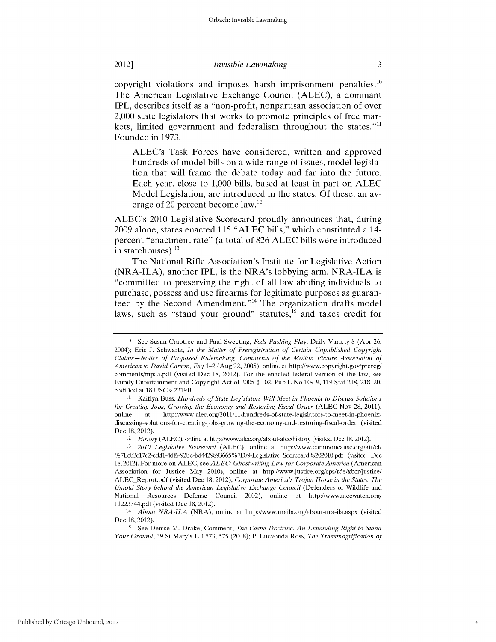copyright violations and imposes harsh imprisonment penalties.<sup>10</sup> The American Legislative Exchange Council **(ALEC),** a dominant IPL, describes itself as a "non-profit, nonpartisan association of over 2,000 state legislators that works to promote principles of free markets, limited government and federalism throughout the states."<sup>11</sup> Founded in 1973,

ALEC's Task Forces have considered, written and approved hundreds of model bills on a wide range of issues, model legislation that will frame the debate today and far into the future. Each year, close to **1,000** bills, based at least in part on **ALEC** Model Legislation, are introduced in the states. **Of** these, an average of 20 percent become law.12

ALEC's 2010 Legislative Scorecard proudly announces that, during **2009** alone, states enacted **115 "ALEC** bills," which constituted a 14 percent "enactment rate" (a total of **826 ALEC** bills were introduced in statehouses).  $^{13}$ 

The National Rifle Association's Institute for Legislative Action (NRA-ILA), another IPL, is the NRA's lobbying arm. NRA-ILA is "committed to preserving the right of all law-abiding individuals to purchase, possess and use firearms for legitimate purposes as guaranteed by the Second Amendment."<sup>14</sup> The organization drafts model laws, such as "stand your ground" statutes, $15$  and takes credit for

**I0** See Susan Crabtree and Paul Sweeting, *Feds Pushing Play,* Daily Variety 8 (Apr 26, 2004); Eric J. Schwartz, *In the Matter of Preregistration of Certain Unpublished Copyright Claims-Notice of Proposed Rulemaking, Comments of the Motion Picture Association of American to David Carson, Esq* 1-2 (Aug 22, 2005), online at http://www.copyright.gov/prereg/ comments/mpaa.pdf (visited Dec 18, 2012). For the enacted federal version of the law, see Family Entertainment and Copyright Act of 2005 § 102, Pub L No 109-9, 119 Stat 218, 218-20, codified at 18 USC § 2319B.

**<sup>11</sup>**Kaitlyn Buss, *Hundreds of State Legislators Will Meet in Phoenix to Discuss Solutions for Creating Jobs, Growing the Economy and Restoring Fiscal Order (ALEC Nov 28, 2011),* online at http://www.alec.org/2011/11/hundreds-of-state-legislators-to-meet-in-phoenixdiscussing-solutions-for-creating-jobs-growing-the-economy-and-restoring-fiscal-order (visited Dec 18, 2012).

<sup>12</sup> *History* (ALEC), online at http://www.alec.org/about-alec/history (visited Dec 18, 2012).

**<sup>13</sup>** *2010 Legislative Scorecard* (ALEC), online at http://www.commoncause.org/atf/cf/ %7Bfb3c17e2-cdd1-4df6-92be-bd4429893665%7D/9-Legislative\_Scorecard%202010.pdf (visited Dec 18, 2012). For more on ALEC, see *ALEC: Ghostwriting Law for Corporate America* (American Association for Justice May 2010), online at http://www.justice.org/cps/rde/xbcr/ustice/ ALECReport.pdf (visited Dec 18, 2012); *Corporate America's Trojan Horse in the States: The Untold Story behind the American Legislative Exchange Council* (Defenders of Wildlife and National Resources Defense Council 2002), online at http://www.alecwatch.org/ 11223344.pdf (visited Dec 18, 2012).

<sup>14</sup> *About NRA-ILA* (NRA), online at http://www.nraila.org/about-nra-ila.aspx (visited Dec 18, 2012).

**<sup>15</sup>**See Denise M. Drake, Comment, *The Castle Doctrine: An Expanding Right to Stand Your Ground,* 39 St Mary's L J 573, 575 (2008); P. Luevonda Ross, *The Transmogrification of*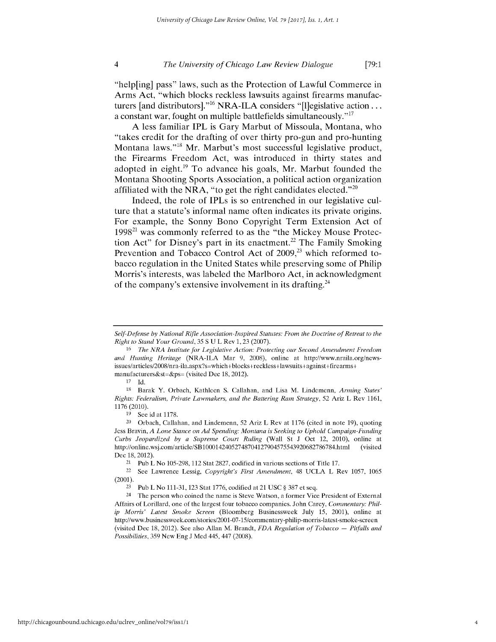"help[ing] pass" laws, such as the Protection of Lawful Commerce in Arms Act, "which blocks reckless lawsuits against firearms manufacturers [and distributors]."<sup>16</sup> NRA-ILA considers "[l]egislative action... a constant war, fought on multiple battlefields simultaneously."<sup>17</sup>

**A** less familiar IPL is Gary Marbut of Missoula, Montana, who "takes credit for the drafting of over thirty pro-gun and pro-hunting Montana laws."<sup>18</sup> Mr. Marbut's most successful legislative product, the Firearms Freedom Act, was introduced in thirty states and adopted in eight. $^{19}$  To advance his goals, Mr. Marbut founded the Montana Shooting Sports Association, a political action organization affiliated with the NRA, "to get the right candidates elected."<sup>20</sup>

Indeed, the role of IPLs is so entrenched in our legislative culture that a statute's informal name often indicates its private origins. For example, the Sonny Bono Copyright Term Extension Act of **199821** was commonly referred to as the "the Mickey Mouse Protection Act" for Disney's part in its enactment.<sup>22</sup> The Family Smoking Prevention and Tobacco Control Act of 2009,<sup>23</sup> which reformed tobacco regulation in the United States while preserving some of Philip Morris's interests, was labeled the Marlboro Act, in acknowledgment of the company's extensive involvement in its drafting.<sup>24</sup>

19 See id at 1178.

21 Pub L No 105-298, 112 Stat 2827, codified in various sections of Title 17.

*Self-Defense by National Rifle Association -Inspired Statutes: From the Doctrine of Retreat to the Right to Stand Your Ground,* 35 S U L Rev 1, 23 (2007).

<sup>16</sup> *The NRA Institute for Legislative Action: Protecting our Second Amendment Freedom and Hunting Heritage* (NRA-ILA Mar 9, 2008), online at http://www.nraila.org/newsissues/articles/2008/nra-ila. aspx?s-which+blocks+reckless+lawsuits+against+firearms+ manufacturers&st=&ps= (visited Dec 18, 2012).

<sup>17</sup> Id.

<sup>&</sup>lt;sup>18</sup> Barak Y. Orbach, Kathleen S. Callahan, and Lisa M. Lindemenn, *Arming States' Rights: Federalism, Private Lawmakers, and the Battering Ram Strategy,* 52 Ariz L Rev 1161, 1176 (2010).

 $20$  Orbach, Callahan, and Lindemenn, 52 Ariz L Rev at 1176 (cited in note 19), quoting Jess Bravin, *A Lone Stance on Ad Spending: Montana is Seeking to Uphold Campaign -Funding Curbs Jeopardized by a Supreme Court Ruling* (Wall St J Oct 12, 2010), online at http://online.wsj.com/article/SB10001424052748704127904575543920682786784.html (visited Dec 18, 2012).

<sup>22</sup> See Lawrence Lessig, *Copyright's First Amendment,* 48 UCLA L Rev 1057, 1065 (2001).

<sup>23</sup> Pub L No 111-31, 123 Stat 1776, codified at 21 USC § 387 et seq.

<sup>24</sup> The person who coined the name is Steve Watson, a former Vice President of External Affairs of Lorillard, one of the largest four tobacco companies. John Carey, *Commentary: Philip Morris' Latest Smoke Screen* (Bloomberg Businessweek July 15, 2001), online at http://www.businessweek.com/stories/2001-07-15/commentary-philip-morris-latest-smoke-screen (visited Dec 18, 2012). See also Allan M. Brandt, *FDA Regulation of Tobacco - Pitfalls and Possibilities,* 359 New Eng J Med 445, 447 (2008).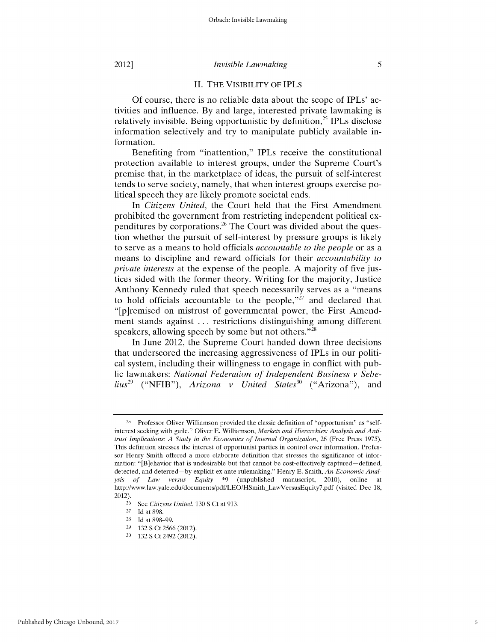## **II.** THE VISIBILITY OF IPLs

Of course, there is no reliable data about the scope of IPLs' activities and influence. By and large, interested private lawmaking is relatively invisible. Being opportunistic by definition,<sup>25</sup> IPLs disclose information selectively and try to manipulate publicly available information.

Benefiting from "inattention," IPLs receive the constitutional protection available to interest groups, under the Supreme Court's premise that, in the marketplace of ideas, the pursuit of self-interest tends to serve society, namely, that when interest groups exercise political speech they are likely promote societal ends.

In *Citizens United,* the Court held that the First Amendment prohibited the government from restricting independent political expenditures by corporations.<sup>26</sup> The Court was divided about the question whether the pursuit of self-interest by pressure groups is likely to serve as a means to hold officials *accountable to the people* or as a means to discipline and reward officials for their *accountability to private interests* at the expense of the people. A majority of five justices sided with the former theory. Writing for the majority, Justice Anthony Kennedy ruled that speech necessarily serves as a "means to hold officials accountable to the people," $\dot{z}$ <sup>7</sup> and declared that "[p]remised on mistrust of governmental power, the First Amendment stands against ... restrictions distinguishing among different speakers, allowing speech by some but not others." $^{28}$ 

In June 2012, the Supreme Court handed down three decisions that underscored the increasing aggressiveness of IPLs in our political system, including their willingness to engage in conflict with public lawmakers: *National Federation of Independent Business v Sebelius*<sup>29</sup> ("NFIB"), *Arizona v United States*<sup>30</sup> ("Arizona"), and

<sup>25</sup> Professor Oliver Williamson provided the classic definition of "opportunism" as "selfinterest seeking with guile." Oliver E. Williamson, *Markets and Hierarchies: Analysis and Antitrust Implications: A Study in the Economics of Internal Organization,* 26 (Free Press 1975). This definition stresses the interest of opportunist parties in control over information. Professor Henry Smith offered a more elaborate definition that stresses the significance of information: "[B]ehavior that is undesirable but that cannot be cost-effectively captured—defined, detected, and deterred-by explicit ex ante rulemaking." Henry E. Smith, *An Economic Analysis of Law versus Equity* \*9 (unpublished manuscript, 2010), online at http://www.law.yale.edu/documents/pdf/LEO/HSmith\_LawVersusEquity7.pdf (visited Dec 18, 2012).

**<sup>26</sup>**See *Citizens United,* 130 **S** Ct at 913.

<sup>27</sup> Id at 898.

<sup>28</sup> Id at 898-99.

<sup>29</sup>132 **S** Ct 2566 (2012).

**<sup>30</sup>**132 **S** Ct 2492 (2012).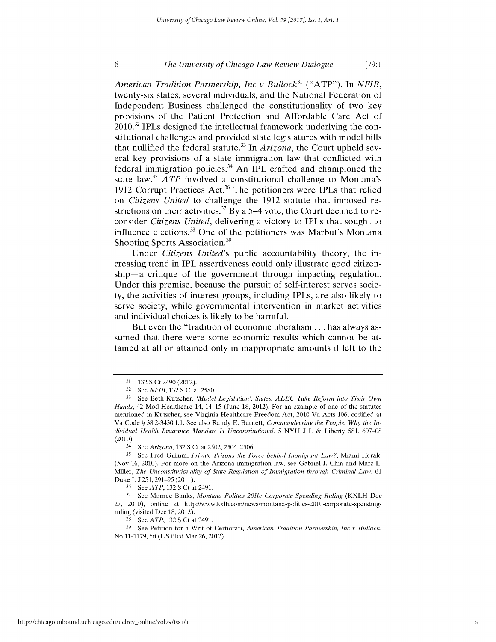*American Tradition Partnership, Inc v Bullock3* ("ATP"). In *NFIB,* twenty-six states, several individuals, and the National Federation of Independent Business challenged the constitutionality of two key provisions of the Patient Protection and Affordable Care Act of  $2010^{32}$  IPLs designed the intellectual framework underlying the constitutional challenges and provided state legislatures with model bills that nullified the federal statute.<sup>33</sup> In *Arizona*, the Court upheld several key provisions of a state immigration law that conflicted with federal immigration policies.<sup>34</sup> An IPL crafted and championed the state law.35 *A TP* involved a constitutional challenge to Montana's 1912 Corrupt Practices Act.<sup>36</sup> The petitioners were IPLs that relied on *Citizens United* to challenge the **1912** statute that imposed restrictions on their activities.<sup>37</sup> By a 5–4 vote, the Court declined to reconsider *Citizens United,* delivering a victory to IPLs that sought to influence elections.<sup>38</sup> One of the petitioners was Marbut's Montana Shooting Sports Association.<sup>39</sup>

Under *Citizens United's* public accountability theory, the increasing trend in IPL assertiveness could only illustrate good citizenship-a critique of the government through impacting regulation. Under this premise, because the pursuit of self-interest serves socie**ty,** the activities of interest groups, including IPLs, are also likely to serve society, while governmental intervention in market activities and individual choices is likely to be harmful.

But even the "tradition of economic liberalism **...** has always assumed that there were some economic results which cannot be attained at all or attained only in inappropriate amounts if left to the

<sup>31</sup> 132 S Ct 2490 (2012).

<sup>32</sup> See *NFIB*, 132 S Ct at 2580.

**<sup>33</sup>** See Beth Kutscher, *'Model Legislation': States, ALEC Take Reform into Their Own Hands,* 42 Mod Healthcare 14, 14-15 (June 18, 2012). For an example of one of the statutes mentioned in Kutscher, see Virginia Healthcare Freedom Act, 2010 Va Acts 106, codified at Va Code § 38.2-3430.1:1. See also Randy **E.** Barnett, *Commandeering the People: Why the* In*dividual Health Insurance Mandate Is Unconstitutional,* 5 NYU J L & Liberty 581, **607-08** (2010).

<sup>34</sup> See *Arizona,* 132 **S** Ct at 2502, 2504, 2506.

**<sup>35</sup>** See Fred Grimm, *Private Prisons the Force behind Immigrant Law?,* Miami Herald (Nov 16, 2010). For more on the Arizona immigration law, see Gabriel **J.** Chin and Marc L. Miller, *The Unconstitutionality of State Regulation of Immigration through Criminal Law,* 61 Duke L J 251, 291-95 (2011).

<sup>36</sup> See *ATP,* 132S Ct at 2491.

**<sup>37</sup>** See Marnee Banks, *Montana Politics 2010: Corporate Spending Ruling* (KXLH Dec 27, 2010), online at http://www.kxlh.com/news/montana-politics-2010-corporate-spendingruling (visited Dec 18, 2012).

**<sup>38</sup>** See *ATP,* 132S Ct at 2491.

**<sup>39</sup>** See Petition for a Writ of Certiorari, *American Tradition Partnership, Inc v Bullock,* No 11-1179, \*ii (US filed Mar 26, 2012).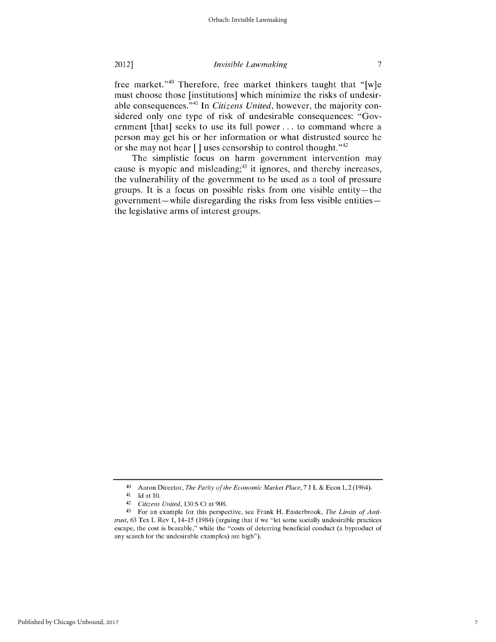2012]

### *Invisible Lawmaking*

free market."<sup>40</sup> Therefore, free market thinkers taught that "[w]e must choose those [institutions] which minimize the risks of undesirable consequences." 41 In *Citizens United,* however, the majority considered only one type of risk of undesirable consequences: "Government [that] seeks to use its full power **...** to command where a person may get his or her information or what distrusted source he or she may not hear **[** ] uses censorship to control thought." <sup>42</sup>

The simplistic focus on harm government intervention may cause is myopic and misleading;<sup>43</sup> it ignores, and thereby increases, the vulnerability of the government to be used as a tool of pressure groups. It is a focus on possible risks from one visible entity-the government-while disregarding the risks from less visible entitiesthe legislative arms of interest groups.

<sup>40</sup> Aaron Director, *The Parity of the Economic Market Place,* 7 J L & Econ 1, 2 (1964).

<sup>41</sup> Id at 10.

<sup>42</sup>*Citizens United,* 130 S Ct at 908.

<sup>43</sup> For an example for this perspective, see Frank H. Easterbrook, *The Limits of Antitrust,* 63 Tex L Rev 1, 14-15 (1984) (arguing that if we "let some socially undesirable practices escape, the cost is bearable," while the "costs of deterring beneficial conduct (a byproduct of any search for the undesirable examples) are high").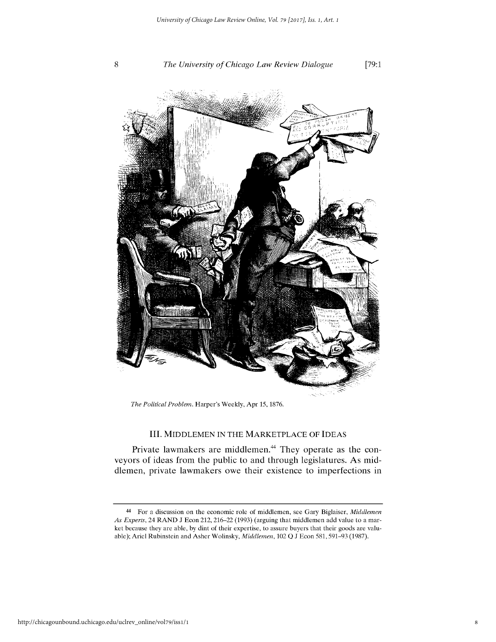

*The Political Problem.* Harper's Weekly, Apr 15, 1876.

## III. MIDDLEMEN IN THE MARKETPLACE OF IDEAS

Private lawmakers are middlemen.<sup>44</sup> They operate as the conveyors of ideas from the public to and through legislatures. As middlemen, private lawmakers owe their existence to imperfections in

<sup>44</sup> For a discussion on the economic role of middlemen, see Gary Biglaiser, *Middlemen As Experts,* 24 RAND J Econ 212, 216-22 (1993) (arguing that middlemen add value to a market because they are able, by dint of their expertise, to assure buyers that their goods are valuable); Ariel Rubinstein and Asher Wolinsky, *Middlemen,* 102 **Q** J Econ 581, 591-93 (1987).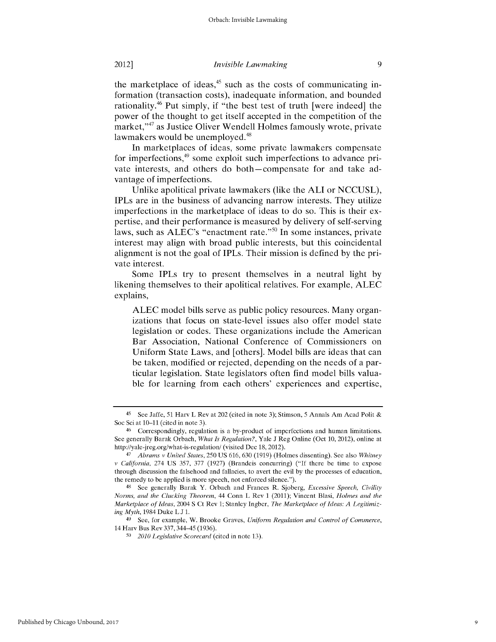the marketplace of ideas, $45$  such as the costs of communicating information (transaction costs), inadequate information, and bounded rationality. 46 Put simply, if "the best test of truth [were indeed] the power of the thought to get itself accepted in the competition of the market,"<sup>47</sup> as Justice Oliver Wendell Holmes famously wrote, private lawmakers would be unemployed.<sup>48</sup>

In marketplaces of ideas, some private lawmakers compensate for imperfections,<sup>49</sup> some exploit such imperfections to advance private interests, and others do both-compensate for and take advantage of imperfections.

Unlike apolitical private lawmakers (like the **ALI** or **NCCUSL),** IPLs are in the business of advancing narrow interests. They utilize imperfections in the marketplace of ideas to do so. This is their expertise, and their performance is measured **by** delivery of self-serving laws, such as  $ALEC$ 's "enactment rate."<sup>50</sup> In some instances, private interest may align with broad public interests, but this coincidental alignment is not the goal of IPLs. Their mission is defined **by** the private interest.

Some IPLs try to present themselves in a neutral light **by** likening themselves to their apolitical relatives. For example, **ALEC** explains,

**ALEC** model bills serve as public policy resources. Many organizations that focus on state-level issues also offer model state legislation or codes. These organizations include the American Bar Association, National Conference of Commissioners on Uniform State Laws, and [others]. Model bills are ideas that can be taken, modified or rejected, depending on the needs of a particular legislation. State legislators often find model bills valuable for learning from each others' experiences and expertise,

<sup>49</sup> See, for example, W. Brooke Graves, *Uniform Regulation and Control of Commerce*, 14 Harv Bus Rev 337, 344-45 (1936).

<sup>45</sup> See Jaffe, 51 Harv L Rev at 202 (cited in note **3);** Stimson, **5** Annals Am Acad **Polit** & Soc Sci at 10-11 (cited in note 3).

<sup>&</sup>lt;sup>46</sup> Correspondingly, regulation is a by-product of imperfections and human limitations. See generally Barak Orbach, *What Is Regulation?,* Yale J Reg Online (Oct 10, 2012), online at http://yale-jreg.org/what-is-regulation/ (visited Dec 18, 2012).

*<sup>47</sup> Abrams v United States,* 250 US 616, 630 (1919) (Holmes dissenting). See also *Whitney v California,* 274 US 357, 377 (1927) (Brandeis concurring) **("If** there be time to expose through discussion the falsehood and fallacies, to avert the evil **by** the processes of education, the remedy to be applied is more speech, not enforced silence.").

<sup>48</sup>See generally Barak Y. Orbach and Frances R. Sjoberg, *Excessive Speech, Civility Norms, and the Clucking Theorem,* 44 Conn L Rev 1 (2011); Vincent Blasi, *Holmes and the Marketplace of Ideas,* 2004 **S** Ct Rev 1; Stanley Ingber, *The Marketplace of Ideas: A Legitimizing Myth,* 1984 Duke L J 1.

*<sup>5</sup>c 2010 Legislative Scorecard* (cited in note 13).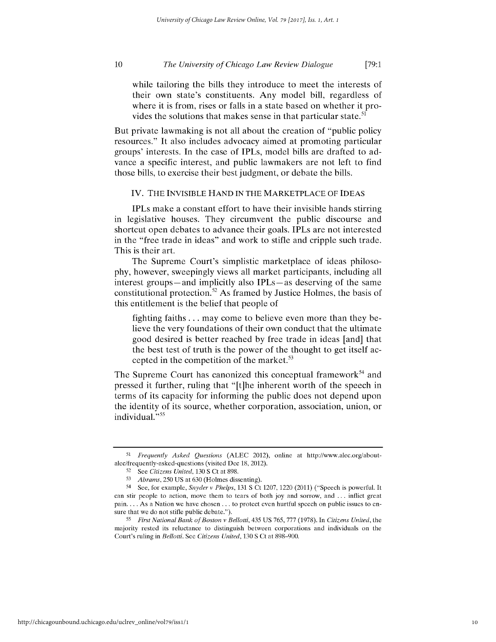while tailoring the bills they introduce to meet the interests of their own state's constituents. Any model bill, regardless of where it is from, rises or falls in a state based on whether it provides the solutions that makes sense in that particular state.<sup>51</sup>

But private lawmaking is not all about the creation of "public policy resources." It also includes advocacy aimed at promoting particular groups' interests. In the case of IPLs, model bills are drafted to advance a specific interest, and public lawmakers are not left to find those bills, to exercise their best judgment, or debate the bills.

## IV. THE INVISIBLE HAND IN THE MARKETPLACE OF IDEAS

IPLs make a constant effort to have their invisible hands stirring in legislative houses. They circumvent the public discourse and shortcut open debates to advance their goals. IPLs are not interested in the "free trade in ideas" and work to stifle and cripple such trade. This is their art.

The Supreme Court's simplistic marketplace of ideas philosophy, however, sweepingly views all market participants, including all interest groups—and implicitly also IPLs—as deserving of the same constitutional protection.<sup>52</sup> As framed by Justice Holmes, the basis of this entitlement is the belief that people of

fighting faiths ... may come to believe even more than they believe the very foundations of their own conduct that the ultimate good desired is better reached by free trade in ideas [and] that the best test of truth is the power of the thought to get itself accepted in the competition of the market. $53$ 

The Supreme Court has canonized this conceptual framework<sup>54</sup> and pressed it further, ruling that "[t]he inherent worth of the speech in terms of its capacity for informing the public does not depend upon the identity of its source, whether corporation, association, union, or individual. **<sup>55</sup>**

**<sup>51</sup>** *Frequently Asked Questions* (ALEC 2012), online at http://www.alec.org/aboutalec/frequently-asked-questions (visited Dec 18, 2012).

<sup>52</sup> See *Citizens United,* 130 S Ct at 898.

**<sup>53</sup>** *Abrams,* 250 US at 630 (Holmes dissenting).

<sup>54</sup> See, for example, *Snyder v Phelps,* 131 **S** Ct 1207, 1220 (2011) ("Speech is powerful. It can stir people to action, move them to tears of both joy and sorrow, and ... inflict great pain.... As a Nation we have chosen.., to protect even hurtful speech on public issues to ensure that we do not stifle public debate.").

**<sup>55</sup>***First National Bank of Boston v Bellotti,* 435 US 765, 777 (1978). In *Citizens United,* the majority rested its reluctance to distinguish between corporations and individuals on the Court's ruling in *Bellotti.* See *Citizens United,* 130 **S** Ct at 898-900.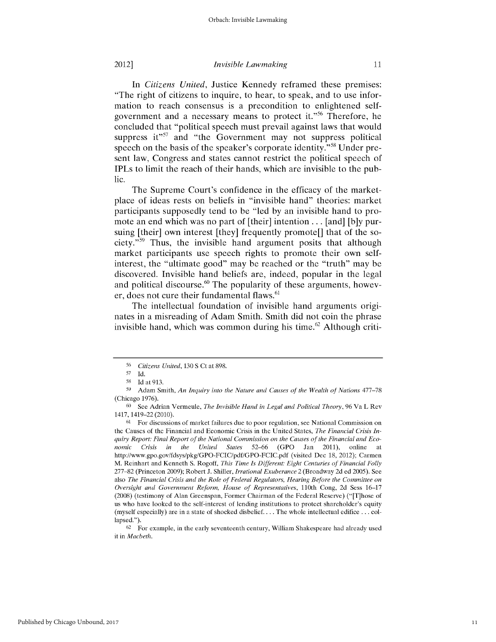In *Citizens United*, Justice Kennedy reframed these premises: "The right of citizens to inquire, to hear, to speak, and to use information to reach consensus is a precondition to enlightened selfgovernment and a necessary means to protect it."<sup>56</sup> Therefore, he concluded that "political speech must prevail against laws that would suppress it" $57$  and "the Government may not suppress political speech on the basis of the speaker's corporate identity."<sup>58</sup> Under present law, Congress and states cannot restrict the political speech of IPLs to limit the reach of their hands, which are invisible to the public.

The Supreme Court's confidence in the efficacy of the marketplace of ideas rests on beliefs in "invisible hand" theories: market participants supposedly tend to be "led **by** an invisible hand to promote an end which was no part of [their] intention... [and] **[b]y** pursuing [their] own interest [they] frequently promote[] that of the society."<sup>59</sup> Thus, the invisible hand argument posits that although market participants use speech rights to promote their own selfinterest, the "ultimate good" may be reached or the "truth" may be discovered. Invisible hand beliefs are, indeed, popular in the legal and political discourse. $60$  The popularity of these arguments, however, does not cure their fundamental flaws.<sup>61</sup>

The intellectual foundation of invisible hand arguments originates in a misreading of Adam Smith. Smith did not coin the phrase invisible hand, which was common during his time.<sup>62</sup> Although criti-

**<sup>56</sup>***Citizens United,* 130 **S** Ct at 898.

**<sup>57</sup>** Id.

**<sup>58</sup>** Id at 913.

**<sup>59</sup>** Adam Smith, *An Inquiry into the Nature and Causes of the Wealth of Nations* 477-78 (Chicago 1976).

**<sup>60</sup>** See Adrian Vermeule, *The Invisible Hand in Legal and Political Theory,* 96 Va L Rev 1417, 1419-22 (2010).

**<sup>61</sup>** For discussions of market failures due to poor regulation, see National Commission on the Causes of the Financial and Economic Crisis in the United States, *The Financial Crisis* In*quiry Report: Final Report of the National Commission on the Causes of the Financial and Economic Crisis in the United* States **52-66 (GPO** Jan 2011), online at http://www.gpo.gov/fdsys/pkg/GPO-FCIC/pdf/GPO-FCIC.pdf (visited Dec 18, 2012); Carmen M. Reinhart and Kenneth S. Rogoff, *This Time Is Different: Eight Centuries of Financial Folly* 277-82 (Princeton 2009); Robert J. Shiller, *Irrational Exuberance* 2 (Broadway 2d ed 2005). See also *The Financial Crisis and the Role of Federal Regulators, Hearing Before the Committee on Oversight and Government Reform, House of Representatives,* 110th Cong, 2d Sess 16-17 (2008) (testimony of Alan Greenspan, Former Chairman of the Federal Reserve) ("[T]hose of us who have looked to the self-interest of lending institutions to protect shareholder's equity (myself especially) are in a state of shocked disbelief.... The whole intellectual edifice **...** collapsed.").

**<sup>62</sup>** For example, in the early seventeenth century, William Shakespeare had already used it in *Macbeth.*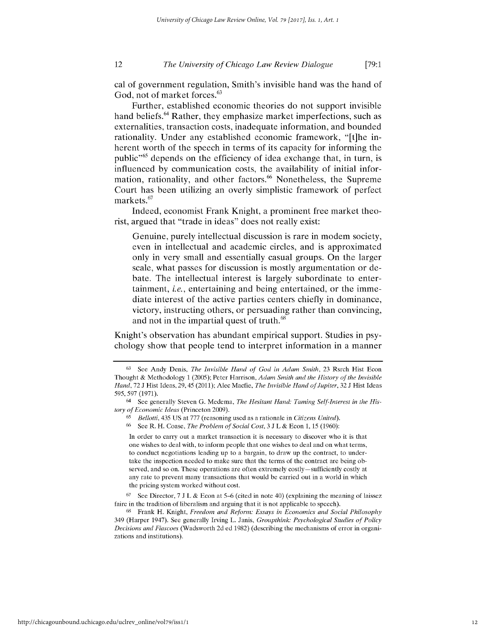cal of government regulation, Smith's invisible hand was the hand of God, not of market forces.<sup>63</sup>

Further, established economic theories do not support invisible hand beliefs.<sup>64</sup> Rather, they emphasize market imperfections, such as externalities, transaction costs, inadequate information, and bounded rationality. Under any established economic framework, "[t]he inherent worth of the speech in terms of its capacity for informing the public<sup>, 65</sup> depends on the efficiency of idea exchange that, in turn, is influenced **by** communication costs, the availability of initial information, rationality, and other factors.<sup>66</sup> Nonetheless, the Supreme Court has been utilizing an overly simplistic framework of perfect markets.<sup>67</sup>

Indeed, economist Frank Knight, a prominent free market theorist, argued that "trade in ideas" does not really exist:

Genuine, purely intellectual discussion is rare in modem society, even in intellectual and academic circles, and is approximated only in very small and essentially casual groups. On the larger scale, what passes for discussion is mostly argumentation or debate. The intellectual interest is largely subordinate to entertainment, *i.e.,* entertaining and being entertained, or the immediate interest of the active parties centers chiefly in dominance, victory, instructing others, or persuading rather than convincing, and not in the impartial quest of truth.<sup>68</sup>

Knight's observation has abundant empirical support. Studies in psychology show that people tend to interpret information in a manner

In order to carry out a market transaction it is necessary to discover who it is that one wishes to deal with, to inform people that one wishes to deal and on what terms, to conduct negotiations leading up to a bargain, to draw up the contract, to undertake the inspection needed to make sure that the terms of the contract are being observed, and so on. These operations are often extremely costly -sufficiently costly at any rate to prevent many transactions that would be carried out in a world in which the pricing system worked without cost.

67 See Director, 7 J L & Econ at **5-6** (cited in note 40) (explaining the meaning of laissez faire in the tradition of liberalism and arguing that it is not applicable to speech).

**<sup>63</sup>** See Andy Denis, *The Invisible Hand of God in Adam Smith,* 23 Rsrch Hist Econ Thought & Methodology 1 (2005); Peter Harrison, *Adam Smith and the History of the Invisible Hand,* 72 J Hist Ideas, 29,45 (2011); Alec Macfie, *The Invisible Hand of Jupiter,* 32 J Hist Ideas 595, 597 (1971).

<sup>(4</sup> See generally Steven **G.** Medema, *The Hesitant Hand: Taming Self-Interest in the History of Economic Ideas* (Princeton 2009).

**<sup>65</sup>** *Bellotti,* 435 US at **777** (reasoning used as a rationale in *Citizens United).*

**<sup>66</sup>** See R. H. Coase, *The Problem of Social Cost,* 3 J L & Econ 1, 15 (1960):

<sup>68</sup>Frank H. Knight, *Freedom and Reform: Essays in Economics and Social Philosophy* 349 (Harper 1947). See generally Irving L. Janis, *Groupthink: Psychological Studies of Policy Decisions and Fiascoes* (Wadsworth 2d ed 1982) (describing the mechanisms of error in organizations and institutions).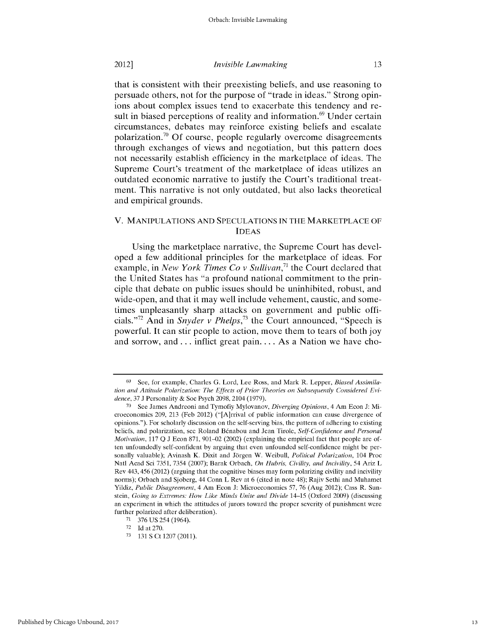that is consistent with their preexisting beliefs, and use reasoning to persuade others, not for the purpose of "trade in ideas." Strong opinions about complex issues tend to exacerbate this tendency and result in biased perceptions of reality and information.<sup>69</sup> Under certain circumstances, debates may reinforce existing beliefs and escalate polarization.<sup>70</sup> Of course, people regularly overcome disagreements through exchanges of views and negotiation, but this pattern does not necessarily establish efficiency in the marketplace of ideas. The Supreme Court's treatment of the marketplace of ideas utilizes an outdated economic narrative to justify the Court's traditional treatment. This narrative is not only outdated, but also lacks theoretical and empirical grounds.

## V. MANIPULATIONS AND SPECULATIONS IN THE MARKETPLACE OF IDEAS

Using the marketplace narrative, the Supreme Court has developed a few additional principles for the marketplace of ideas. For example, in *New York Times Co v Sullivan*,<sup>71</sup> the Court declared that the United States has "a profound national commitment to the principle that debate on public issues should be uninhibited, robust, and wide-open, and that it may well include vehement, caustic, and sometimes unpleasantly sharp attacks on government and public officials.<sup>"72</sup> And in *Snyder v Phelps*,<sup>73</sup> the Court announced, "Speech is powerful. It can stir people to action, move them to tears of both **joy** and sorrow, **and..,** inflict great **pain....** As a Nation we have cho-

**<sup>69</sup>** See, for example, Charles **G.** Lord, Lee Ross, and Mark R. Lepper, *Biased Assimilation and Attitude Polarization: The Effects of Prior Theories on Subsequently Considered Evidence,* 37 J Personality & Soc Psych 2098, 2104 (1979).

**<sup>70</sup>** See James Andreoni and Tymofiy Mylovanov, *Diverging Opinions,* 4 Am Econ J: Microeconomics 209, 213 (Feb 2012) ("[A]rrival of public information can cause divergence of opinions."). For scholarly discussion on the self-serving bias, the pattern of adhering to existing beliefs, and polarization, see Roland Benabou and Jean Tirole, *Self-Confidence and Personal Motivation,* 117 **Q** J Econ 871, 901-02 (2002) (explaining the empirical fact that people are often unfoundedly self-confident by arguing that even unfounded self-confidence might be personally valuable); Avinash K. Dixit and Jörgen W. Weibull, *Political Polarization*, 104 Proc Natl Acad Sci 7351, 7354 (2007); Barak Orbach, *On Hubris, Civility, and Incivility,* 54 Ariz L Rev 443,456 (2012) (arguing that the cognitive biases may form polarizing civility and incivility norms); Orbach and Sjoberg, 44 Conn L Rev at 6 (cited in note 48); Rajiv Sethi and Muhamet Yildiz, *Public Disagreement,* 4 Am Econ J: Microeconomics 57, 76 (Aug 2012); Cass R. Sunstein, *Going to Extremes: How Like Minds Unite and Divide* 14-15 (Oxford 2009) (discussing an experiment in which the attitudes of jurors toward the proper severity of punishment were further polarized after deliberation).

<sup>71</sup> 376 US 254 (1964).

 $72$  Id at 270.

**<sup>73</sup>**131 **S** Ct 1207 (2011).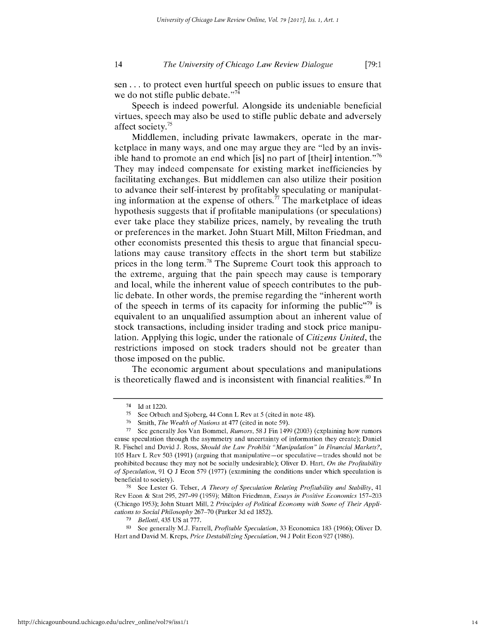sen **...** to protect even hurtful speech on public issues to ensure that we do not stifle public debate. $^{774}$ 

Speech is indeed powerful. Alongside its undeniable beneficial virtues, speech may also be used to stifle public debate and adversely affect society.<sup>75</sup>

Middlemen, including private lawmakers, operate in the marketplace in many ways, and one may argue they are "led **by** an invisible hand to promote an end which **[is]** no part of [their] intention. **' <sup>76</sup>** They may indeed compensate for existing market inefficiencies **by** facilitating exchanges. But middlemen can also utilize their position to advance their self-interest **by** profitably speculating or manipulating information at the expense of others.<sup>77</sup> The marketplace of ideas hypothesis suggests that if profitable manipulations (or speculations) ever take place they stabilize prices, namely, **by** revealing the truth or preferences in the market. John Stuart Mill, Milton Friedman, and other economists presented this thesis to argue that financial speculations may cause transitory effects in the short term but stabilize prices in the long term.<sup>78</sup> The Supreme Court took this approach to the extreme, arguing that the pain speech may cause is temporary and local, while the inherent value of speech contributes to the public debate. In other words, the premise regarding the "inherent worth of the speech in terms of its capacity for informing the public<sup> $\frac{7}{9}$ </sup> is equivalent to an unqualified assumption about an inherent value of stock transactions, including insider trading and stock price manipulation. Applying this logic, under the rationale of *Citizens United,* the restrictions imposed on stock traders should not be greater than those imposed on the public.

The economic argument about speculations and manipulations is theoretically flawed and is inconsistent with financial realities.<sup>80</sup> In

<sup>74</sup> Id at 1220.

<sup>&</sup>lt;sup>75</sup> See Orbach and Sjoberg, 44 Conn L Rev at 5 (cited in note 48).

<sup>76</sup> Smith, *The Wealth of Nations* at 477 (cited in note 59).

**<sup>77</sup>**See generally Jos Van Bommel, *Rumors, 58* J Fin 1499 (2003) (explaining how rumors cause speculation through the asymmetry and uncertainty of information they create); Daniel R. Fischel and David J. Ross, *Should the Law Prohibit "Manipulation" in Financial Markets?,* 105 Harv L Rev 503 (1991) (arguing that manipulative—or speculative—trades should not be prohibited because they may not be socially undesirable); Oliver D. Hart, *On the Profitability of Speculation,* 91 **Q** J Econ 579 (1977) (examining the conditions under which speculation is beneficial to society).

**<sup>78</sup>**See Lester **G.** Telser, *A Theory of Speculation Relating Profitability and Stability,* <sup>41</sup> Rev Econ & Stat 295, 297-99 (1959); Milton Friedman, *Essays in Positive Economics* 157-203 (Chicago **1953);** John Stuart Mill, 2 *Principles of Political Economy with Some of Their Applications to Social Philosophy* 267-70 (Parker 3d ed 1852).

*<sup>79</sup>Bellotti,* 435 US at 777.

**<sup>80</sup>**See generally **M.J.** Farrell, *Profitable Speculation,* 33 Economica 183 (1966); Oliver D. Hart and David M. Kreps, *Price Destabilizing Speculation,* 94 J Polit Econ 927 (1986).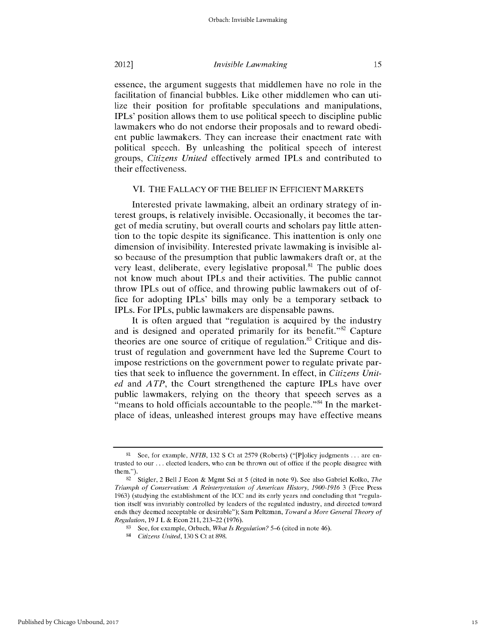essence, the argument suggests that middlemen have no role in the facilitation of financial bubbles. Like other middlemen who can utilize their position for profitable speculations and manipulations, IPLs' position allows them to use political speech to discipline public lawmakers who do not endorse their proposals and to reward obedient public lawmakers. They can increase their enactment rate with political speech. By unleashing the political speech of interest groups, *Citizens United* effectively armed IPLs and contributed to their effectiveness.

# VI. THE FALLACY OF THE BELIEF **IN EFFICIENT** MARKETS

Interested private lawmaking, albeit an ordinary strategy of interest groups, is relatively invisible. Occasionally, it becomes the target of media scrutiny, but overall courts and scholars pay little attention to the topic despite its significance. This inattention is only one dimension of invisibility. Interested private lawmaking is invisible also because of the presumption that public lawmakers draft or, at the very least, deliberate, every legislative proposal.<sup>81</sup> The public does not know much about IPLs and their activities. The public cannot throw IPLs out of office, and throwing public lawmakers out of office for adopting IPLs' bills may only be a temporary setback to IPLs. For IPLs, public lawmakers are dispensable pawns.

It is often argued that "regulation is acquired by the industry and is designed and operated primarily for its benefit."<sup>82</sup> Capture theories are one source of critique of regulation.<sup>83</sup> Critique and distrust of regulation and government have led the Supreme Court to impose restrictions on the government power to regulate private parties that seek to influence the government. In effect, in *Citizens United* and *A TP,* the Court strengthened the capture IPLs have over public lawmakers, relying on the theory that speech serves as a "means to hold officials accountable to the people." $84$  In the marketplace of ideas, unleashed interest groups may have effective means

**<sup>81</sup>** See, for example, *NFIB,* 132 S Ct at 2579 (Roberts) ("[P]olicy judgments ... are entrusted to our **...** elected leaders, who can be thrown out of office if the people disagree with them.").

**<sup>82</sup>**Stigler, 2 Bell J Econ & Mgmt Sci at 5 (cited in note 9). See also Gabriel Kolko, *The Triumph of Conservatism: A Reinterpretation of American History, 1900-1916* 3 (Free Press 1963) (studying the establishment of the ICC and its early years and concluding that "regulation itself was invariably controlled by leaders of the regulated industry, and directed toward ends they deemed acceptable or desirable"); Sam Peltzman, *Toward a More General Theory of Regulation,* 19 J L & Econ 211, 213-22 (1976).

**<sup>83</sup>**See, for example, Orbach, *What Is Regulation? 5-6* (cited in note 46).

*<sup>84</sup> Citizens United,* 130 S Ct at 898.